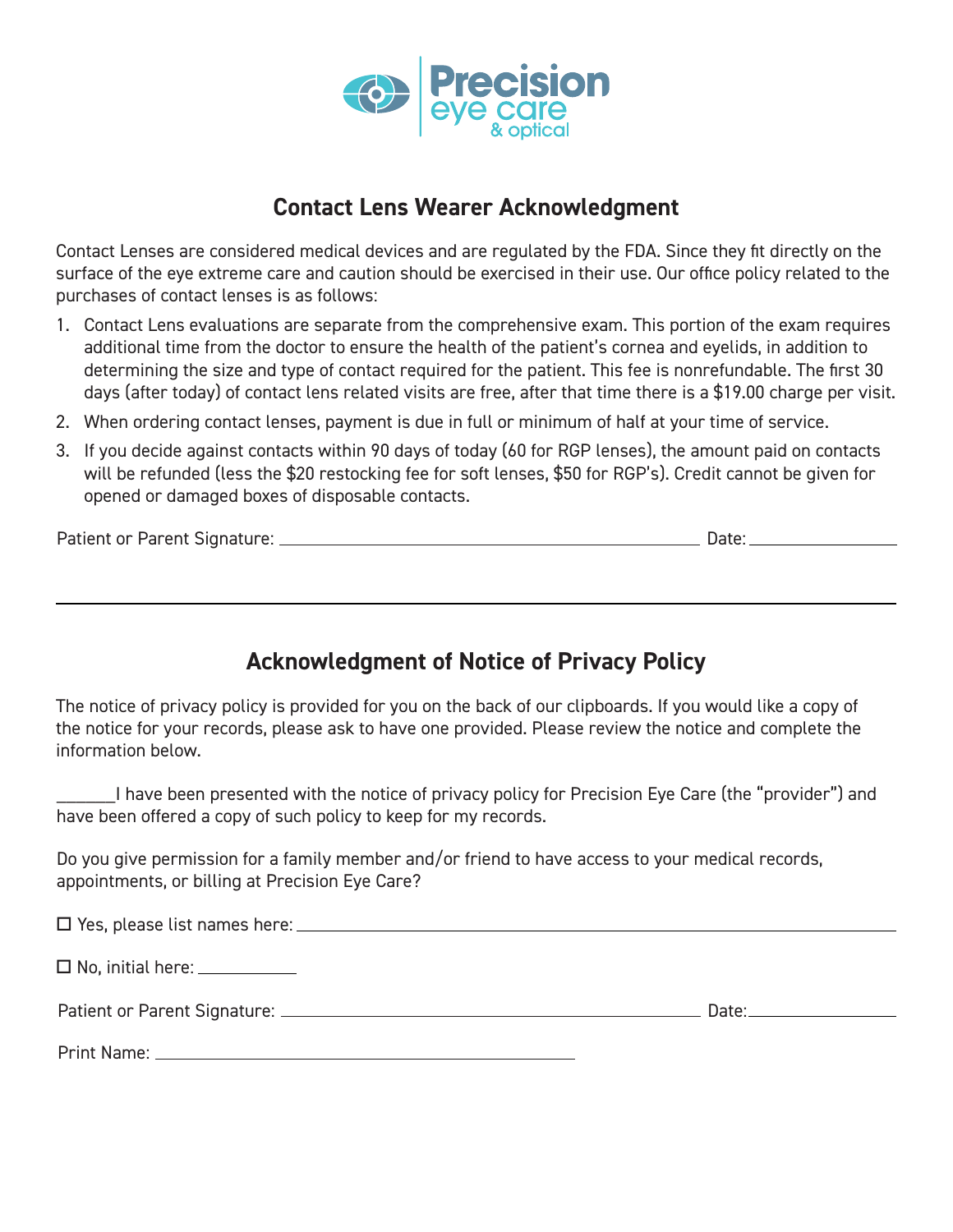

## **Contact Lens Wearer Acknowledgment**

Contact Lenses are considered medical devices and are regulated by the FDA. Since they fit directly on the surface of the eye extreme care and caution should be exercised in their use. Our office policy related to the purchases of contact lenses is as follows:

- 1. Contact Lens evaluations are separate from the comprehensive exam. This portion of the exam requires additional time from the doctor to ensure the health of the patient's cornea and eyelids, in addition to determining the size and type of contact required for the patient. This fee is nonrefundable. The first 30 days (after today) of contact lens related visits are free, after that time there is a \$19.00 charge per visit.
- 2. When ordering contact lenses, payment is due in full or minimum of half at your time of service.
- 3. If you decide against contacts within 90 days of today (60 for RGP lenses), the amount paid on contacts will be refunded (less the \$20 restocking fee for soft lenses, \$50 for RGP's). Credit cannot be given for opened or damaged boxes of disposable contacts.

Patient or Parent Signature: Date:

## **Acknowledgment of Notice of Privacy Policy**

The notice of privacy policy is provided for you on the back of our clipboards. If you would like a copy of the notice for your records, please ask to have one provided. Please review the notice and complete the information below.

\_\_\_\_\_\_I have been presented with the notice of privacy policy for Precision Eye Care (the "provider") and have been offered a copy of such policy to keep for my records.

Do you give permission for a family member and/or friend to have access to your medical records, appointments, or billing at Precision Eye Care?

| $\Box$ No, initial here: $\_\_\_\_\_\_\_\_\_\_\_\_\_\_\_\_\_\_\_\_$ |                                                                                                                                                                                                                                |
|---------------------------------------------------------------------|--------------------------------------------------------------------------------------------------------------------------------------------------------------------------------------------------------------------------------|
|                                                                     | Date: the contract of the contract of the contract of the contract of the contract of the contract of the contract of the contract of the contract of the contract of the contract of the contract of the contract of the cont |
|                                                                     |                                                                                                                                                                                                                                |